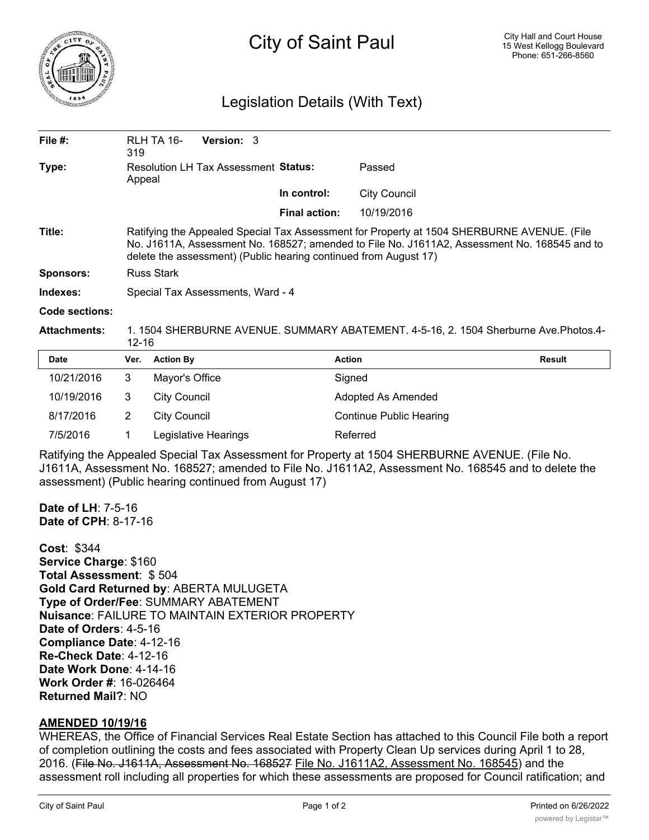

## Legislation Details (With Text)

| File $#$ :       | RLH TA 16-<br>319                                                                                                                                                                                                                                              | <b>Version: 3</b> |                      |                     |  |  |  |
|------------------|----------------------------------------------------------------------------------------------------------------------------------------------------------------------------------------------------------------------------------------------------------------|-------------------|----------------------|---------------------|--|--|--|
| Type:            | <b>Resolution LH Tax Assessment Status:</b><br>Appeal                                                                                                                                                                                                          |                   |                      | Passed              |  |  |  |
|                  |                                                                                                                                                                                                                                                                |                   | In control:          | <b>City Council</b> |  |  |  |
|                  |                                                                                                                                                                                                                                                                |                   | <b>Final action:</b> | 10/19/2016          |  |  |  |
| Title:           | Ratifying the Appealed Special Tax Assessment for Property at 1504 SHERBURNE AVENUE. (File<br>No. J1611A, Assessment No. 168527; amended to File No. J1611A2, Assessment No. 168545 and to<br>delete the assessment) (Public hearing continued from August 17) |                   |                      |                     |  |  |  |
| <b>Sponsors:</b> | <b>Russ Stark</b>                                                                                                                                                                                                                                              |                   |                      |                     |  |  |  |
| Indexes:         | Special Tax Assessments, Ward - 4                                                                                                                                                                                                                              |                   |                      |                     |  |  |  |

## **Code sections:**

**Attachments:** 1. 1504 SHERBURNE AVENUE. SUMMARY ABATEMENT. 4-5-16, 2. 1504 Sherburne Ave.Photos.4- 12-16

| <b>Date</b> | Ver. | <b>Action By</b>     | <b>Action</b>                  | Result |
|-------------|------|----------------------|--------------------------------|--------|
| 10/21/2016  | 3    | Mayor's Office       | Signed                         |        |
| 10/19/2016  | 3    | City Council         | Adopted As Amended             |        |
| 8/17/2016   | 2    | City Council         | <b>Continue Public Hearing</b> |        |
| 7/5/2016    |      | Legislative Hearings | Referred                       |        |

Ratifying the Appealed Special Tax Assessment for Property at 1504 SHERBURNE AVENUE. (File No. J1611A, Assessment No. 168527; amended to File No. J1611A2, Assessment No. 168545 and to delete the assessment) (Public hearing continued from August 17)

**Date of LH**: 7-5-16 **Date of CPH**: 8-17-16

**Cost**: \$344 **Service Charge**: \$160 **Total Assessment**: \$ 504 **Gold Card Returned by**: ABERTA MULUGETA **Type of Order/Fee**: SUMMARY ABATEMENT **Nuisance**: FAILURE TO MAINTAIN EXTERIOR PROPERTY **Date of Orders**: 4-5-16 **Compliance Date**: 4-12-16 **Re-Check Date**: 4-12-16 **Date Work Done**: 4-14-16 **Work Order #**: 16-026464 **Returned Mail?**: NO

## **AMENDED 10/19/16**

WHEREAS, the Office of Financial Services Real Estate Section has attached to this Council File both a report of completion outlining the costs and fees associated with Property Clean Up services during April 1 to 28, 2016. (File No. J1611A, Assessment No. 168527 File No. J1611A2, Assessment No. 168545) and the assessment roll including all properties for which these assessments are proposed for Council ratification; and